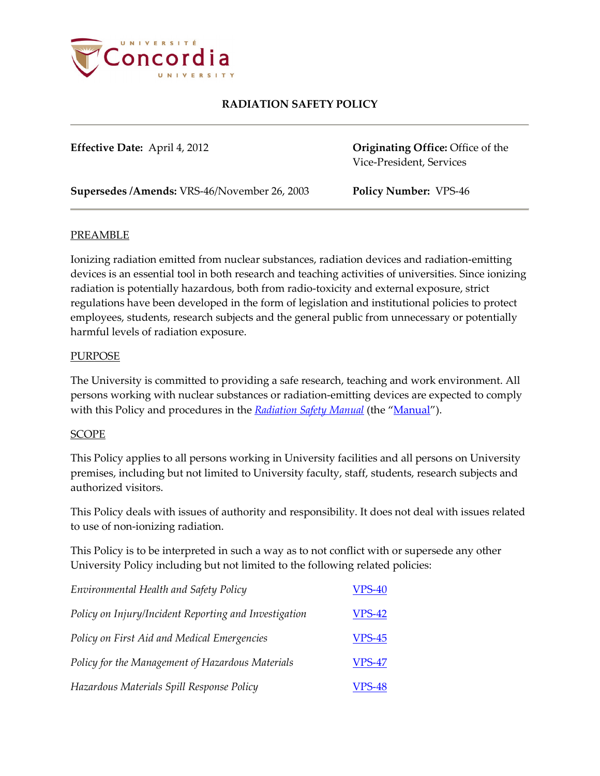

**Effective Date:** April 4, 2012 **Originating Office:** Office of the Vice-President, Services

**Supersedes /Amends:** VRS-46/November 26, 2003 **Policy Number:** VPS-46

### PREAMBLE

Ionizing radiation emitted from nuclear substances, radiation devices and radiation-emitting devices is an essential tool in both research and teaching activities of universities. Since ionizing radiation is potentially hazardous, both from radio-toxicity and external exposure, strict regulations have been developed in the form of legislation and institutional policies to protect employees, students, research subjects and the general public from unnecessary or potentially harmful levels of radiation exposure.

#### PURPOSE

The University is committed to providing a safe research, teaching and work environment. All persons working with nuclear substances or radiation-emitting devices are expected to comply with this Policy and procedures in the **[Radiation Safety Manual](http://ehs.concordia.ca/pdf/Radiation_Safety_Manual.pdf)** (the ["Manual"](http://ehs.concordia.ca/pdf/Radiation_Safety_Manual.pdf)).

### SCOPE

This Policy applies to all persons working in University facilities and all persons on University premises, including but not limited to University faculty, staff, students, research subjects and authorized visitors.

This Policy deals with issues of authority and responsibility. It does not deal with issues related to use of non-ionizing radiation.

This Policy is to be interpreted in such a way as to not conflict with or supersede any other University Policy including but not limited to the following related policies:

| Environmental Health and Safety Policy                | <b>VPS-40</b> |
|-------------------------------------------------------|---------------|
| Policy on Injury/Incident Reporting and Investigation | <b>VPS-42</b> |
| Policy on First Aid and Medical Emergencies           | <b>VPS-45</b> |
| Policy for the Management of Hazardous Materials      | <b>VPS-47</b> |
| Hazardous Materials Spill Response Policy             | <b>VPS-48</b> |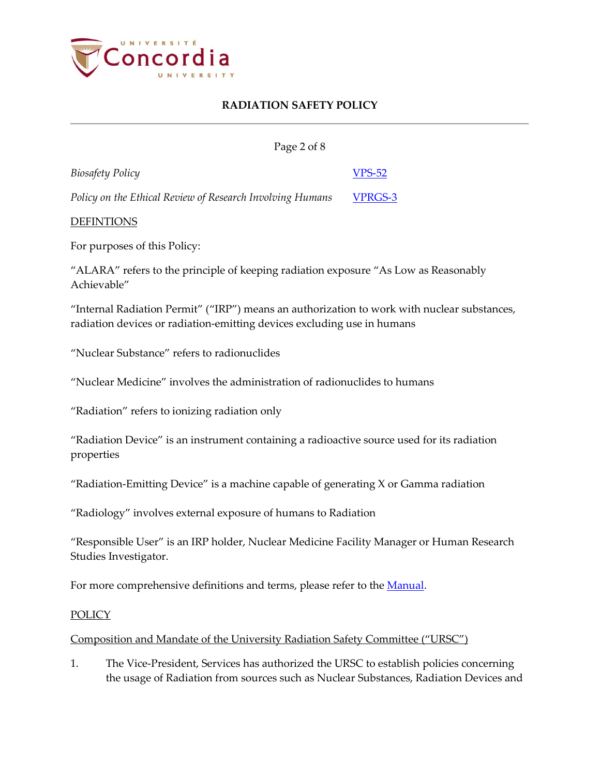

| Page 2 of 8                                               |               |
|-----------------------------------------------------------|---------------|
| Biosafety Policy                                          | <b>VPS-52</b> |
| Policy on the Ethical Review of Research Involving Humans | VPRGS-3       |

### DEFINTIONS

For purposes of this Policy:

"ALARA" refers to the principle of keeping radiation exposure "As Low as Reasonably Achievable"

"Internal Radiation Permit" ("IRP") means an authorization to work with nuclear substances, radiation devices or radiation-emitting devices excluding use in humans

"Nuclear Substance" refers to radionuclides

"Nuclear Medicine" involves the administration of radionuclides to humans

"Radiation" refers to ionizing radiation only

"Radiation Device" is an instrument containing a radioactive source used for its radiation properties

"Radiation-Emitting Device" is a machine capable of generating  $X$  or Gamma radiation

"Radiology" involves external exposure of humans to Radiation

"Responsible User" is an IRP holder, Nuclear Medicine Facility Manager or Human Research Studies Investigator.

For more comprehensive definitions and terms, please refer to the **Manual**.

#### **POLICY**

#### Composition and Mandate of the University Radiation Safety Committee ("URSC")

1. The Vice-President, Services has authorized the URSC to establish policies concerning the usage of Radiation from sources such as Nuclear Substances, Radiation Devices and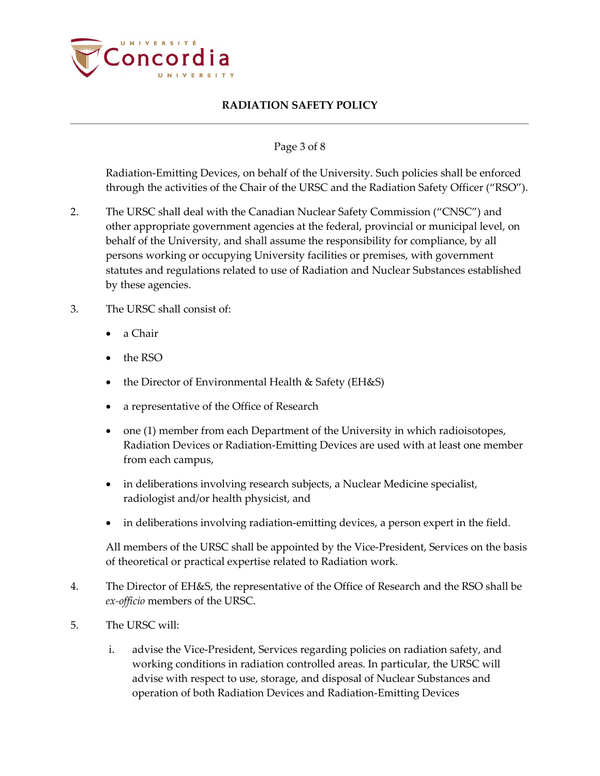

### Page 3 of 8

Radiation-Emitting Devices, on behalf of the University. Such policies shall be enforced through the activities of the Chair of the URSC and the Radiation Safety Officer ("RSO").

- 2. The URSC shall deal with the Canadian Nuclear Safety Commission ("CNSC") and other appropriate government agencies at the federal, provincial or municipal level, on behalf of the University, and shall assume the responsibility for compliance, by all persons working or occupying University facilities or premises, with government statutes and regulations related to use of Radiation and Nuclear Substances established by these agencies.
- 3. The URSC shall consist of:
	- a Chair
	- the RSO
	- the Director of Environmental Health & Safety (EH&S)
	- a representative of the Office of Research
	- one (1) member from each Department of the University in which radioisotopes, Radiation Devices or Radiation-Emitting Devices are used with at least one member from each campus,
	- in deliberations involving research subjects, a Nuclear Medicine specialist, radiologist and/or health physicist, and
	- in deliberations involving radiation-emitting devices, a person expert in the field.

All members of the URSC shall be appointed by the Vice-President, Services on the basis of theoretical or practical expertise related to Radiation work.

- 4. The Director of EH&S, the representative of the Office of Research and the RSO shall be *ex-officio* members of the URSC.
- 5. The URSC will:
	- i. advise the Vice-President, Services regarding policies on radiation safety, and working conditions in radiation controlled areas. In particular, the URSC will advise with respect to use, storage, and disposal of Nuclear Substances and operation of both Radiation Devices and Radiation-Emitting Devices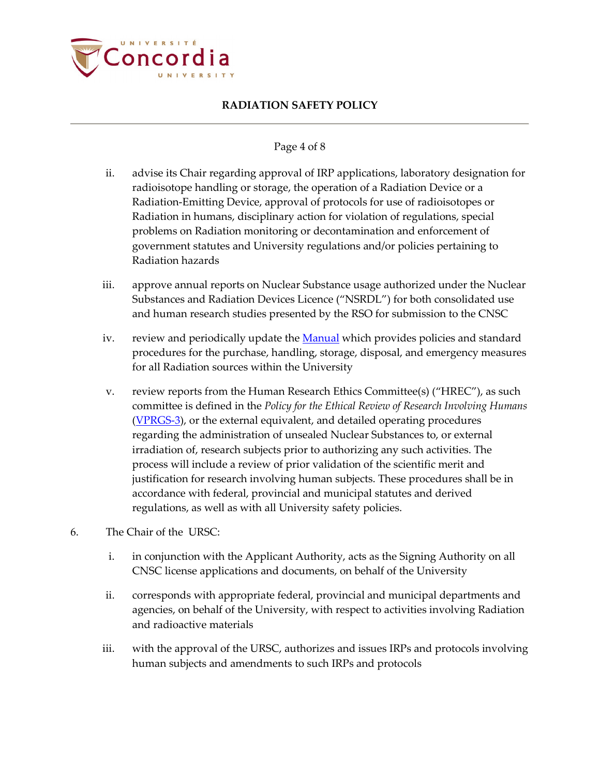

#### Page 4 of 8

- ii. advise its Chair regarding approval of IRP applications, laboratory designation for radioisotope handling or storage, the operation of a Radiation Device or a Radiation-Emitting Device, approval of protocols for use of radioisotopes or Radiation in humans, disciplinary action for violation of regulations, special problems on Radiation monitoring or decontamination and enforcement of government statutes and University regulations and/or policies pertaining to Radiation hazards
- iii. approve annual reports on Nuclear Substance usage authorized under the Nuclear Substances and Radiation Devices Licence ("NSRDL") for both consolidated use and human research studies presented by the RSO for submission to the CNSC
- iv. review and periodically update th[e Manual](http://ehs.concordia.ca/pdf/Radiation_Safety_Manual.pdf) which provides policies and standard procedures for the purchase, handling, storage, disposal, and emergency measures for all Radiation sources within the University
- v. review reports from the Human Research Ethics Committee(s) ("HREC"), as such committee is defined in the *Policy for the Ethical Review of Research Involving Humans* [\(VPRGS-3\)](http://www.concordia.ca/vpirsg/documents/policies/VPRGS-3.pdf), or the external equivalent, and detailed operating procedures regarding the administration of unsealed Nuclear Substances to, or external irradiation of, research subjects prior to authorizing any such activities. The process will include a review of prior validation of the scientific merit and justification for research involving human subjects. These procedures shall be in accordance with federal, provincial and municipal statutes and derived regulations, as well as with all University safety policies.
- 6. The Chair of the URSC:
	- i. in conjunction with the Applicant Authority, acts as the Signing Authority on all CNSC license applications and documents, on behalf of the University
	- ii. corresponds with appropriate federal, provincial and municipal departments and agencies, on behalf of the University, with respect to activities involving Radiation and radioactive materials
	- iii. with the approval of the URSC, authorizes and issues IRPs and protocols involving human subjects and amendments to such IRPs and protocols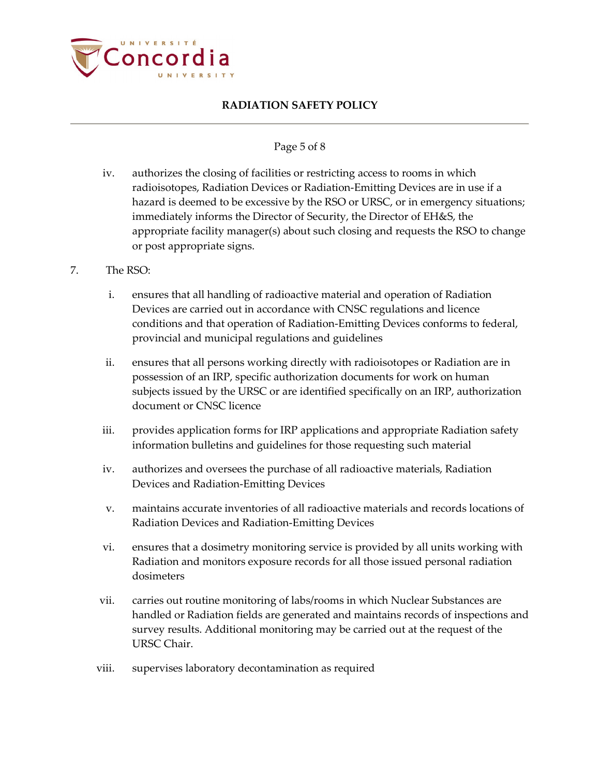

#### Page 5 of 8

- iv. authorizes the closing of facilities or restricting access to rooms in which radioisotopes, Radiation Devices or Radiation-Emitting Devices are in use if a hazard is deemed to be excessive by the RSO or URSC, or in emergency situations; immediately informs the Director of Security, the Director of EH&S, the appropriate facility manager(s) about such closing and requests the RSO to change or post appropriate signs.
- 7. The RSO:
	- i. ensures that all handling of radioactive material and operation of Radiation Devices are carried out in accordance with CNSC regulations and licence conditions and that operation of Radiation-Emitting Devices conforms to federal, provincial and municipal regulations and guidelines
	- ii. ensures that all persons working directly with radioisotopes or Radiation are in possession of an IRP, specific authorization documents for work on human subjects issued by the URSC or are identified specifically on an IRP, authorization document or CNSC licence
	- iii. provides application forms for IRP applications and appropriate Radiation safety information bulletins and guidelines for those requesting such material
	- iv. authorizes and oversees the purchase of all radioactive materials, Radiation Devices and Radiation-Emitting Devices
	- v. maintains accurate inventories of all radioactive materials and records locations of Radiation Devices and Radiation-Emitting Devices
	- vi. ensures that a dosimetry monitoring service is provided by all units working with Radiation and monitors exposure records for all those issued personal radiation dosimeters
	- vii. carries out routine monitoring of labs/rooms in which Nuclear Substances are handled or Radiation fields are generated and maintains records of inspections and survey results. Additional monitoring may be carried out at the request of the URSC Chair.
	- viii. supervises laboratory decontamination as required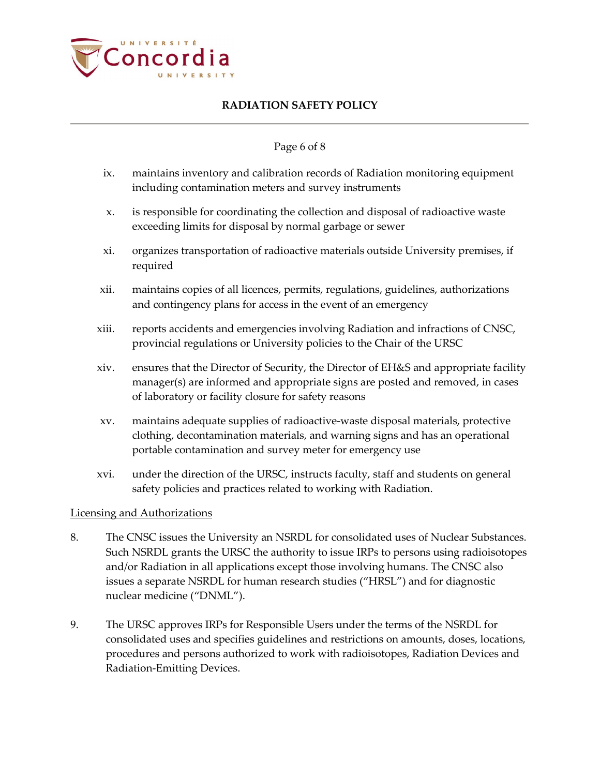

### Page 6 of 8

- ix. maintains inventory and calibration records of Radiation monitoring equipment including contamination meters and survey instruments
- x. is responsible for coordinating the collection and disposal of radioactive waste exceeding limits for disposal by normal garbage or sewer
- xi. organizes transportation of radioactive materials outside University premises, if required
- xii. maintains copies of all licences, permits, regulations, guidelines, authorizations and contingency plans for access in the event of an emergency
- xiii. reports accidents and emergencies involving Radiation and infractions of CNSC, provincial regulations or University policies to the Chair of the URSC
- xiv. ensures that the Director of Security, the Director of EH&S and appropriate facility manager(s) are informed and appropriate signs are posted and removed, in cases of laboratory or facility closure for safety reasons
- xv. maintains adequate supplies of radioactive-waste disposal materials, protective clothing, decontamination materials, and warning signs and has an operational portable contamination and survey meter for emergency use
- xvi. under the direction of the URSC, instructs faculty, staff and students on general safety policies and practices related to working with Radiation.

### Licensing and Authorizations

- 8. The CNSC issues the University an NSRDL for consolidated uses of Nuclear Substances. Such NSRDL grants the URSC the authority to issue IRPs to persons using radioisotopes and/or Radiation in all applications except those involving humans. The CNSC also issues a separate NSRDL for human research studies ("HRSL") and for diagnostic nuclear medicine ("DNML").
- 9. The URSC approves IRPs for Responsible Users under the terms of the NSRDL for consolidated uses and specifies guidelines and restrictions on amounts, doses, locations, procedures and persons authorized to work with radioisotopes, Radiation Devices and Radiation-Emitting Devices.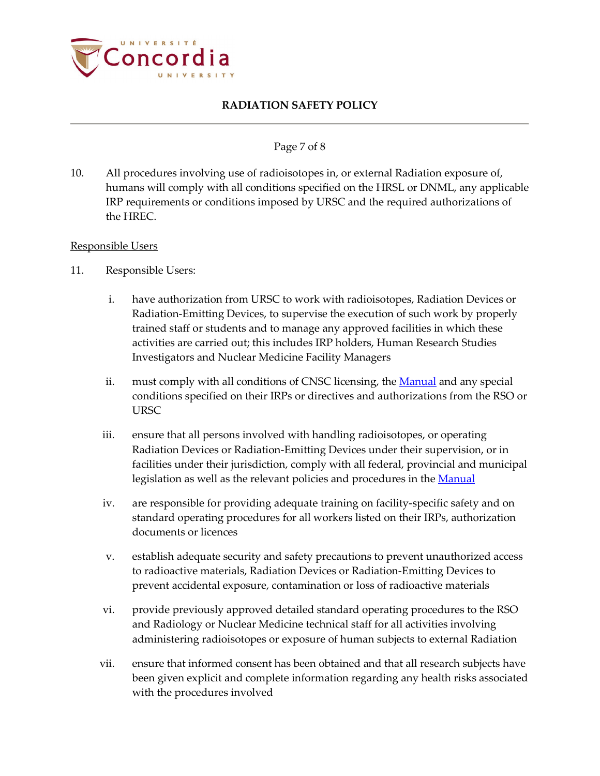

### Page 7 of 8

10. All procedures involving use of radioisotopes in, or external Radiation exposure of, humans will comply with all conditions specified on the HRSL or DNML, any applicable IRP requirements or conditions imposed by URSC and the required authorizations of the HREC.

#### Responsible Users

- 11. Responsible Users:
	- i. have authorization from URSC to work with radioisotopes, Radiation Devices or Radiation-Emitting Devices, to supervise the execution of such work by properly trained staff or students and to manage any approved facilities in which these activities are carried out; this includes IRP holders, Human Research Studies Investigators and Nuclear Medicine Facility Managers
	- ii. must comply with all conditions of CNSC licensing, the [Manual](http://ehs.concordia.ca/pdf/Radiation_Safety_Manual.pdf) and any special conditions specified on their IRPs or directives and authorizations from the RSO or URSC
	- iii. ensure that all persons involved with handling radioisotopes, or operating Radiation Devices or Radiation-Emitting Devices under their supervision, or in facilities under their jurisdiction, comply with all federal, provincial and municipal legislation as well as the relevant policies and procedures in the [Manual](http://ehs.concordia.ca/pdf/Radiation_Safety_Manual.pdf)
	- iv. are responsible for providing adequate training on facility-specific safety and on standard operating procedures for all workers listed on their IRPs, authorization documents or licences
	- v. establish adequate security and safety precautions to prevent unauthorized access to radioactive materials, Radiation Devices or Radiation-Emitting Devices to prevent accidental exposure, contamination or loss of radioactive materials
	- vi. provide previously approved detailed standard operating procedures to the RSO and Radiology or Nuclear Medicine technical staff for all activities involving administering radioisotopes or exposure of human subjects to external Radiation
	- vii. ensure that informed consent has been obtained and that all research subjects have been given explicit and complete information regarding any health risks associated with the procedures involved